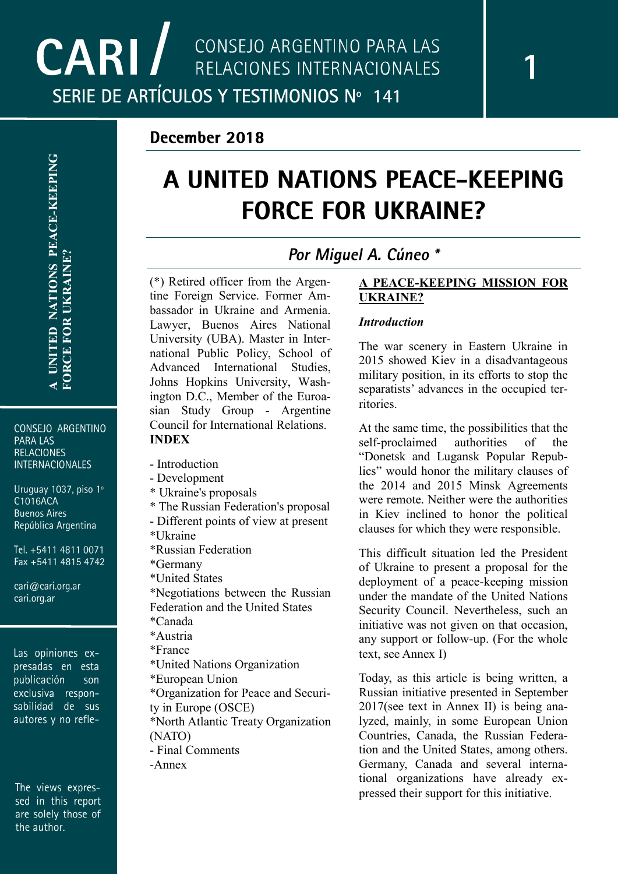CONSEJO ARGENTINO **PARA LAS RELACIONES INTERNACIONALES** 

Uruguay 1037, piso 1º C1016ACA **Buenos Aires** República Argentina

Tel. +5411 4811 0071 Fax +5411 4815 4742

cari@cari.org.ar cari.org.ar

Las opiniones expresadas en esta publicación son exclusiva respon-<br>sabilidad de sus autores y no refle-

The views expressed in this report are solely those of the author.

# A UNITED NATIONS PEACE-KEEPING **FORCE FOR UKRAINE?**

# Por Miquel A. Cúneo \*

(\*) Retired officer from the Argentine Foreign Service. Former Ambassador in Ukraine and Armenia. Lawyer, Buenos Aires National University (UBA). Master in International Public Policy, School of Advanced International Studies, Johns Hopkins University, Washington D.C., Member of the Euroasian Study Group - Argentine Council for International Relations. **INDEX**

- Introduction
- Development
- \* Ukraine's proposals
- \* The Russian Federation's proposal
- Different points of view at present
- \*Ukraine
- \*Russian Federation
- \*Germany
- \*United States

\*Negotiations between the Russian Federation and the United States

- \*Canada
- \*Austria
- \*France
- \*United Nations Organization
- \*European Union
- \*Organization for Peace and Securi-
- ty in Europe (OSCE)
- \*North Atlantic Treaty Organization (NATO)
- Final Comments
- -Annex

# **A PEACE -KEEPING MISSION FOR UKRAINE?**

# *Introduction*

The war scenery in Eastern Ukraine in 2015 showed Kiev in a disadvantageous military position, in its efforts to stop the separatists' advances in the occupied territories.

At the same time, the possibilities that the self-proclaimed authorities of the "Donetsk and Lugansk Popular Republics" would honor the military clauses of the 2014 and 2015 Minsk Agreements were remote. Neither were the authorities in Kiev inclined to honor the political clauses for which they were responsible.

This difficult situation led the President of Ukraine to present a proposal for the deployment of a peace -keeping mission under the mandate of the United Nations Security Council. Nevertheless, such an initiative was not given on that occasion, any support or follow -up. (For the whole text, see Annex I)

Today, as this article is being written, a Russian initiative presented in September 2017(see text in Annex II) is being analyzed, mainly, in some European Union Countries, Canada, the Russian Federation and the United States, among others. Germany, Canada and several international organizations have already expressed their support for this initiative.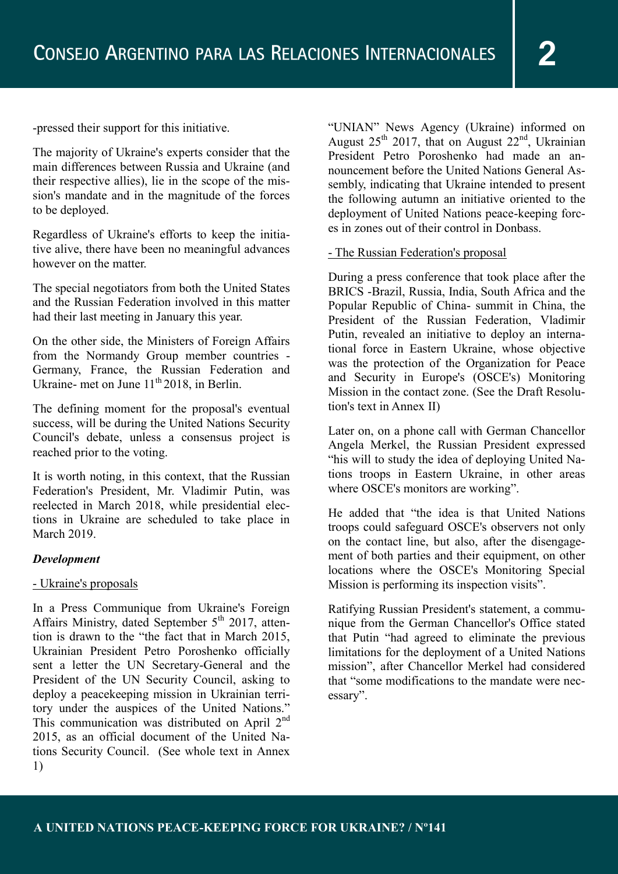-pressed their support for this initiative.

The majority of Ukraine's experts consider that the main differences between Russia and Ukraine (and their respective allies), lie in the scope of the mission's mandate and in the magnitude of the forces to be deployed.

Regardless of Ukraine's efforts to keep the initiative alive, there have been no meaningful advances however on the matter.

The special negotiators from both the United States and the Russian Federation involved in this matter had their last meeting in January this year.

On the other side, the Ministers of Foreign Affairs from the Normandy Group member countries - Germany, France, the Russian Federation and Ukraine- met on June  $11^{th}$  2018, in Berlin.

The defining moment for the proposal's eventual success, will be during the United Nations Security Council's debate, unless a consensus project is reached prior to the voting.

It is worth noting, in this context, that the Russian Federation's President, Mr. Vladimir Putin, was reelected in March 2018, while presidential elections in Ukraine are scheduled to take place in March 2019.

#### *Development*

#### - Ukraine's proposals

In a Press Communique from Ukraine's Foreign Affairs Ministry, dated September  $5<sup>th</sup>$  2017, attention is drawn to the "the fact that in March 2015, Ukrainian President Petro Poroshenko officially sent a letter the UN Secretary-General and the President of the UN Security Council, asking to deploy a peacekeeping mission in Ukrainian territory under the auspices of the United Nations." This communication was distributed on April 2<sup>nd</sup> 2015, as an official document of the United Nations Security Council. (See whole text in Annex 1)

"UNIAN" News Agency (Ukraine) informed on August  $25<sup>th</sup>$  2017, that on August  $22<sup>nd</sup>$ , Ukrainian President Petro Poroshenko had made an announcement before the United Nations General Assembly, indicating that Ukraine intended to present the following autumn an initiative oriented to the deployment of United Nations peace-keeping forces in zones out of their control in Donbass.

#### - The Russian Federation's proposal

During a press conference that took place after the BRICS -Brazil, Russia, India, South Africa and the Popular Republic of China- summit in China, the President of the Russian Federation, Vladimir Putin, revealed an initiative to deploy an international force in Eastern Ukraine, whose objective was the protection of the Organization for Peace and Security in Europe's (OSCE's) Monitoring Mission in the contact zone. (See the Draft Resolution's text in Annex II)

Later on, on a phone call with German Chancellor Angela Merkel, the Russian President expressed "his will to study the idea of deploying United Nations troops in Eastern Ukraine, in other areas where OSCE's monitors are working".

He added that "the idea is that United Nations troops could safeguard OSCE's observers not only on the contact line, but also, after the disengagement of both parties and their equipment, on other locations where the OSCE's Monitoring Special Mission is performing its inspection visits".

Ratifying Russian President's statement, a communique from the German Chancellor's Office stated that Putin "had agreed to eliminate the previous limitations for the deployment of a United Nations mission", after Chancellor Merkel had considered that "some modifications to the mandate were necessary".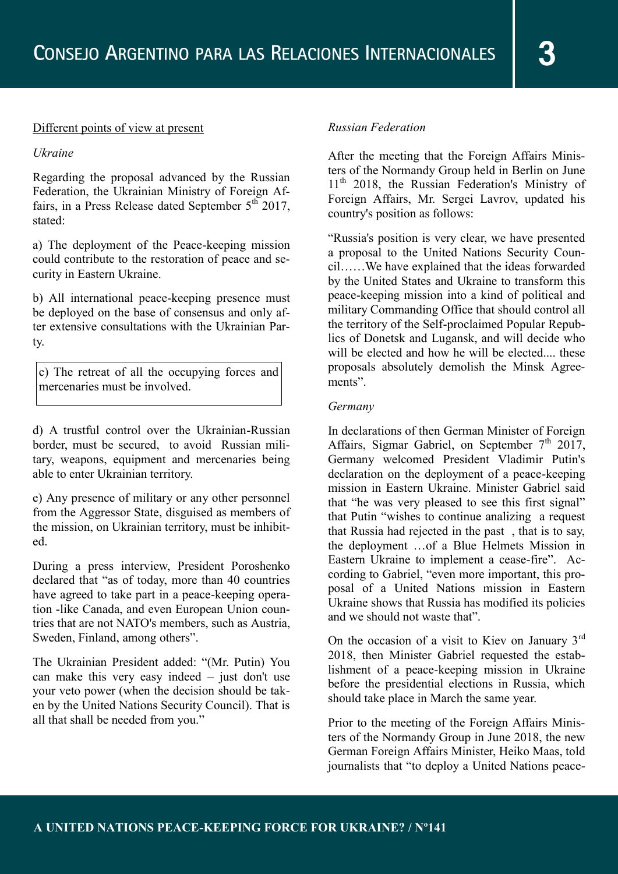#### Different points of view at present

#### *Ukraine*

Regarding the proposal advanced by the Russian Federation, the Ukrainian Ministry of Foreign Affairs, in a Press Release dated September  $5<sup>th</sup>$  2017, stated:

a) The deployment of the Peace-keeping mission could contribute to the restoration of peace and security in Eastern Ukraine.

b) All international peace-keeping presence must be deployed on the base of consensus and only after extensive consultations with the Ukrainian Party.

c) The retreat of all the occupying forces and mercenaries must be involved.

d) A trustful control over the Ukrainian-Russian border, must be secured, to avoid Russian military, weapons, equipment and mercenaries being able to enter Ukrainian territory.

e) Any presence of military or any other personnel from the Aggressor State, disguised as members of the mission, on Ukrainian territory, must be inhibited.

During a press interview, President Poroshenko declared that "as of today, more than 40 countries have agreed to take part in a peace-keeping operation -like Canada, and even European Union countries that are not NATO's members, such as Austria, Sweden, Finland, among others".

The Ukrainian President added: "(Mr. Putin) You can make this very easy indeed – just don't use your veto power (when the decision should be taken by the United Nations Security Council). That is all that shall be needed from you."

# *Russian Federation*

After the meeting that the Foreign Affairs Ministers of the Normandy Group held in Berlin on June 11<sup>th</sup> 2018, the Russian Federation's Ministry of Foreign Affairs, Mr. Sergei Lavrov, updated his country's position as follows:

"Russia's position is very clear, we have presented a proposal to the United Nations Security Council……We have explained that the ideas forwarded by the United States and Ukraine to transform this peace-keeping mission into a kind of political and military Commanding Office that should control all the territory of the Self-proclaimed Popular Republics of Donetsk and Lugansk, and will decide who will be elected and how he will be elected these proposals absolutely demolish the Minsk Agreements".

# *Germany*

In declarations of then German Minister of Foreign Affairs, Sigmar Gabriel, on September  $7<sup>th</sup>$  2017, Germany welcomed President Vladimir Putin's declaration on the deployment of a peace-keeping mission in Eastern Ukraine. Minister Gabriel said that "he was very pleased to see this first signal" that Putin "wishes to continue analizing a request that Russia had rejected in the past , that is to say, the deployment …of a Blue Helmets Mission in Eastern Ukraine to implement a cease-fire". According to Gabriel, "even more important, this proposal of a United Nations mission in Eastern Ukraine shows that Russia has modified its policies and we should not waste that".

On the occasion of a visit to Kiev on January 3rd 2018, then Minister Gabriel requested the establishment of a peace-keeping mission in Ukraine before the presidential elections in Russia, which should take place in March the same year.

Prior to the meeting of the Foreign Affairs Ministers of the Normandy Group in June 2018, the new German Foreign Affairs Minister, Heiko Maas, told journalists that "to deploy a United Nations peace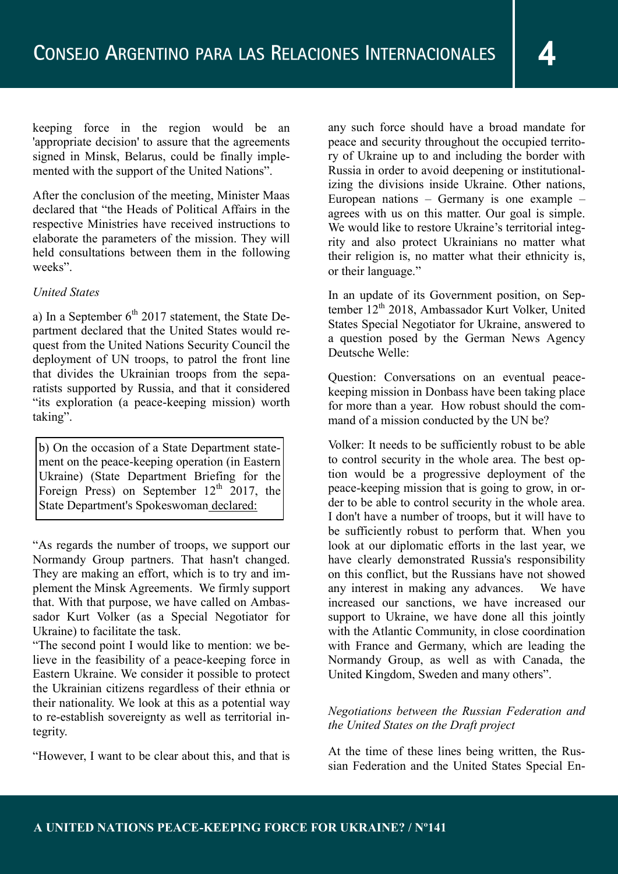keeping force in the region would be an 'appropriate decision' to assure that the agreements signed in Minsk, Belarus, could be finally implemented with the support of the United Nations".

After the conclusion of the meeting, Minister Maas declared that "the Heads of Political Affairs in the respective Ministries have received instructions to elaborate the parameters of the mission. They will held consultations between them in the following weeks".

# *United States*

a) In a September  $6<sup>th</sup>$  2017 statement, the State Department declared that the United States would request from the United Nations Security Council the deployment of UN troops, to patrol the front line that divides the Ukrainian troops from the separatists supported by Russia, and that it considered "its exploration (a peace-keeping mission) worth taking".

b) On the occasion of a State Department statement on the peace-keeping operation (in Eastern Ukraine) (State Department Briefing for the Foreign Press) on September  $12<sup>th</sup>$  2017, the State Department's Spokeswoman declared:

"As regards the number of troops, we support our Normandy Group partners. That hasn't changed. They are making an effort, which is to try and implement the Minsk Agreements. We firmly support that. With that purpose, we have called on Ambassador Kurt Volker (as a Special Negotiator for Ukraine) to facilitate the task.

"The second point I would like to mention: we believe in the feasibility of a peace-keeping force in Eastern Ukraine. We consider it possible to protect the Ukrainian citizens regardless of their ethnia or their nationality. We look at this as a potential way to re-establish sovereignty as well as territorial integrity.

"However, I want to be clear about this, and that is

any such force should have a broad mandate for peace and security throughout the occupied territory of Ukraine up to and including the border with Russia in order to avoid deepening or institutionalizing the divisions inside Ukraine. Other nations, European nations – Germany is one example – agrees with us on this matter. Our goal is simple. We would like to restore Ukraine's territorial integrity and also protect Ukrainians no matter what their religion is, no matter what their ethnicity is, or their language."

In an update of its Government position, on September 12<sup>th</sup> 2018, Ambassador Kurt Volker, United States Special Negotiator for Ukraine, answered to a question posed by the German News Agency Deutsche Welle:

Question: Conversations on an eventual peacekeeping mission in Donbass have been taking place for more than a year. How robust should the command of a mission conducted by the UN be?

Volker: It needs to be sufficiently robust to be able to control security in the whole area. The best option would be a progressive deployment of the peace-keeping mission that is going to grow, in order to be able to control security in the whole area. I don't have a number of troops, but it will have to be sufficiently robust to perform that. When you look at our diplomatic efforts in the last year, we have clearly demonstrated Russia's responsibility on this conflict, but the Russians have not showed any interest in making any advances. We have increased our sanctions, we have increased our support to Ukraine, we have done all this jointly with the Atlantic Community, in close coordination with France and Germany, which are leading the Normandy Group, as well as with Canada, the United Kingdom, Sweden and many others".

# *Negotiations between the Russian Federation and the United States on the Draft project*

At the time of these lines being written, the Russian Federation and the United States Special En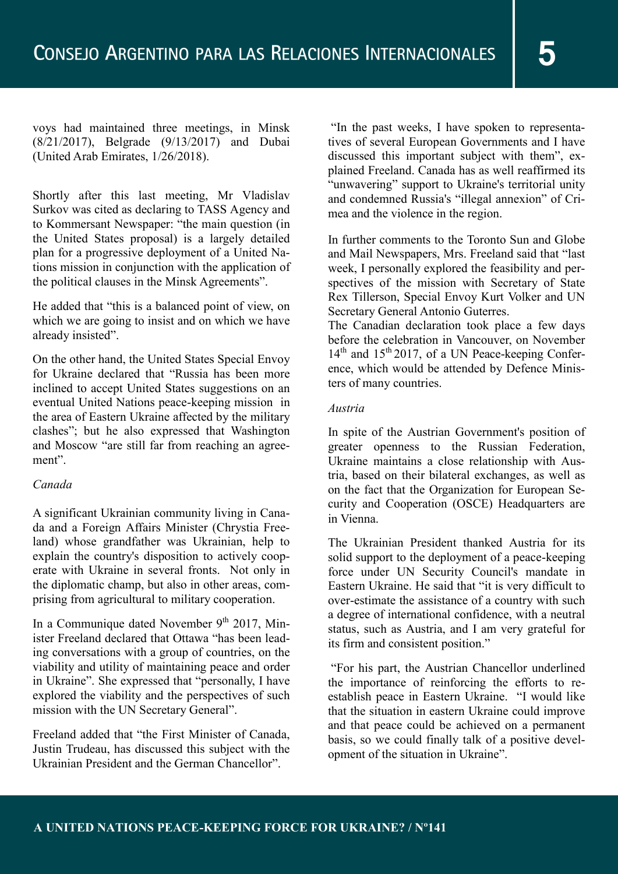voys had maintained three meetings, in Minsk (8/21/2017), Belgrade (9/13/2017) and Dubai (United Arab Emirates, 1/26/2018).

Shortly after this last meeting, Mr Vladislav Surkov was cited as declaring to TASS Agency and to Kommersant Newspaper: "the main question (in the United States proposal) is a largely detailed plan for a progressive deployment of a United Nations mission in conjunction with the application of the political clauses in the Minsk Agreements".

He added that "this is a balanced point of view, on which we are going to insist and on which we have already insisted".

On the other hand, the United States Special Envoy for Ukraine declared that "Russia has been more inclined to accept United States suggestions on an eventual United Nations peace-keeping mission in the area of Eastern Ukraine affected by the military clashes"; but he also expressed that Washington and Moscow "are still far from reaching an agreement".

# *Canada*

A significant Ukrainian community living in Canada and a Foreign Affairs Minister (Chrystia Freeland) whose grandfather was Ukrainian, help to explain the country's disposition to actively cooperate with Ukraine in several fronts. Not only in the diplomatic champ, but also in other areas, comprising from agricultural to military cooperation.

In a Communique dated November 9<sup>th</sup> 2017, Minister Freeland declared that Ottawa "has been leading conversations with a group of countries, on the viability and utility of maintaining peace and order in Ukraine". She expressed that "personally, I have explored the viability and the perspectives of such mission with the UN Secretary General".

Freeland added that "the First Minister of Canada, Justin Trudeau, has discussed this subject with the Ukrainian President and the German Chancellor".

"In the past weeks, I have spoken to representatives of several European Governments and I have discussed this important subject with them", explained Freeland. Canada has as well reaffirmed its "unwavering" support to Ukraine's territorial unity and condemned Russia's "illegal annexion" of Crimea and the violence in the region.

In further comments to the Toronto Sun and Globe and Mail Newspapers, Mrs. Freeland said that "last week, I personally explored the feasibility and perspectives of the mission with Secretary of State Rex Tillerson, Special Envoy Kurt Volker and UN Secretary General Antonio Guterres.

The Canadian declaration took place a few days before the celebration in Vancouver, on November  $14<sup>th</sup>$  and  $15<sup>th</sup>$  2017, of a UN Peace-keeping Conference, which would be attended by Defence Ministers of many countries.

#### *Austria*

In spite of the Austrian Government's position of greater openness to the Russian Federation, Ukraine maintains a close relationship with Austria, based on their bilateral exchanges, as well as on the fact that the Organization for European Security and Cooperation (OSCE) Headquarters are in Vienna.

The Ukrainian President thanked Austria for its solid support to the deployment of a peace-keeping force under UN Security Council's mandate in Eastern Ukraine. He said that "it is very difficult to over-estimate the assistance of a country with such a degree of international confidence, with a neutral status, such as Austria, and I am very grateful for its firm and consistent position."

"For his part, the Austrian Chancellor underlined the importance of reinforcing the efforts to reestablish peace in Eastern Ukraine. "I would like that the situation in eastern Ukraine could improve and that peace could be achieved on a permanent basis, so we could finally talk of a positive development of the situation in Ukraine".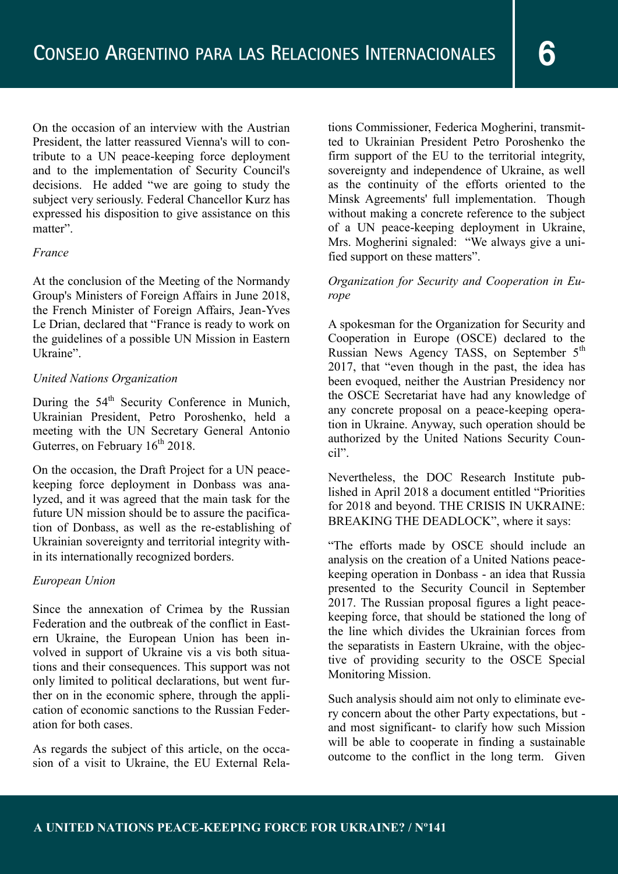On the occasion of an interview with the Austrian President, the latter reassured Vienna's will to contribute to a UN peace-keeping force deployment and to the implementation of Security Council's decisions. He added "we are going to study the subject very seriously. Federal Chancellor Kurz has expressed his disposition to give assistance on this matter".

#### *France*

At the conclusion of the Meeting of the Normandy Group's Ministers of Foreign Affairs in June 2018, the French Minister of Foreign Affairs, Jean-Yves Le Drian, declared that "France is ready to work on the guidelines of a possible UN Mission in Eastern Ukraine".

#### *United Nations Organization*

During the 54<sup>th</sup> Security Conference in Munich, Ukrainian President, Petro Poroshenko, held a meeting with the UN Secretary General Antonio Guterres, on February  $16<sup>th</sup> 2018$ .

On the occasion, the Draft Project for a UN peacekeeping force deployment in Donbass was analyzed, and it was agreed that the main task for the future UN mission should be to assure the pacification of Donbass, as well as the re-establishing of Ukrainian sovereignty and territorial integrity within its internationally recognized borders.

# *European Union*

Since the annexation of Crimea by the Russian Federation and the outbreak of the conflict in Eastern Ukraine, the European Union has been involved in support of Ukraine vis a vis both situations and their consequences. This support was not only limited to political declarations, but went further on in the economic sphere, through the application of economic sanctions to the Russian Federation for both cases.

As regards the subject of this article, on the occasion of a visit to Ukraine, the EU External Relations Commissioner, Federica Mogherini, transmitted to Ukrainian President Petro Poroshenko the firm support of the EU to the territorial integrity, sovereignty and independence of Ukraine, as well as the continuity of the efforts oriented to the Minsk Agreements' full implementation. Though without making a concrete reference to the subject of a UN peace-keeping deployment in Ukraine, Mrs. Mogherini signaled: "We always give a unified support on these matters".

# *Organization for Security and Cooperation in Europe*

A spokesman for the Organization for Security and Cooperation in Europe (OSCE) declared to the Russian News Agency TASS, on September 5<sup>th</sup> 2017, that "even though in the past, the idea has been evoqued, neither the Austrian Presidency nor the OSCE Secretariat have had any knowledge of any concrete proposal on a peace-keeping operation in Ukraine. Anyway, such operation should be authorized by the United Nations Security Council".

Nevertheless, the DOC Research Institute published in April 2018 a document entitled "Priorities for 2018 and beyond. THE CRISIS IN UKRAINE: BREAKING THE DEADLOCK", where it says:

"The efforts made by OSCE should include an analysis on the creation of a United Nations peacekeeping operation in Donbass - an idea that Russia presented to the Security Council in September 2017. The Russian proposal figures a light peacekeeping force, that should be stationed the long of the line which divides the Ukrainian forces from the separatists in Eastern Ukraine, with the objective of providing security to the OSCE Special Monitoring Mission.

Such analysis should aim not only to eliminate every concern about the other Party expectations, but and most significant- to clarify how such Mission will be able to cooperate in finding a sustainable outcome to the conflict in the long term. Given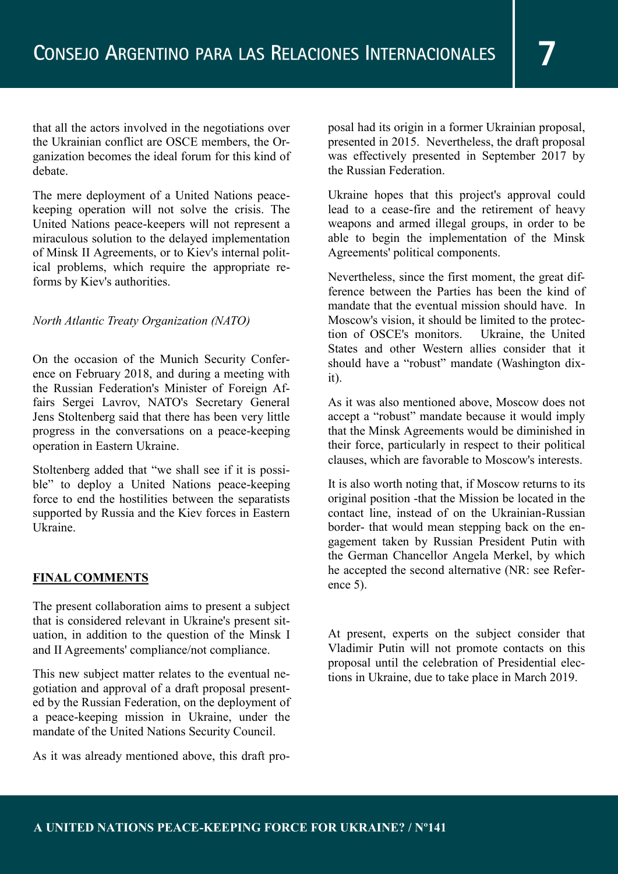that all the actors involved in the negotiations over the Ukrainian conflict are OSCE members, the Organization becomes the ideal forum for this kind of debate.

The mere deployment of a United Nations peacekeeping operation will not solve the crisis. The United Nations peace-keepers will not represent a miraculous solution to the delayed implementation of Minsk II Agreements, or to Kiev's internal political problems, which require the appropriate reforms by Kiev's authorities.

#### *North Atlantic Treaty Organization (NATO)*

On the occasion of the Munich Security Conference on February 2018, and during a meeting with the Russian Federation's Minister of Foreign Affairs Sergei Lavrov, NATO's Secretary General Jens Stoltenberg said that there has been very little progress in the conversations on a peace-keeping operation in Eastern Ukraine.

Stoltenberg added that "we shall see if it is possible" to deploy a United Nations peace-keeping force to end the hostilities between the separatists supported by Russia and the Kiev forces in Eastern Ukraine.

# **FINAL COMMENTS**

The present collaboration aims to present a subject that is considered relevant in Ukraine's present situation, in addition to the question of the Minsk I and II Agreements' compliance/not compliance.

This new subject matter relates to the eventual negotiation and approval of a draft proposal presented by the Russian Federation, on the deployment of a peace-keeping mission in Ukraine, under the mandate of the United Nations Security Council.

As it was already mentioned above, this draft pro-

posal had its origin in a former Ukrainian proposal, presented in 2015. Nevertheless, the draft proposal was effectively presented in September 2017 by the Russian Federation.

Ukraine hopes that this project's approval could lead to a cease-fire and the retirement of heavy weapons and armed illegal groups, in order to be able to begin the implementation of the Minsk Agreements' political components.

Nevertheless, since the first moment, the great difference between the Parties has been the kind of mandate that the eventual mission should have. In Moscow's vision, it should be limited to the protection of OSCE's monitors. Ukraine, the United States and other Western allies consider that it should have a "robust" mandate (Washington dixit).

As it was also mentioned above, Moscow does not accept a "robust" mandate because it would imply that the Minsk Agreements would be diminished in their force, particularly in respect to their political clauses, which are favorable to Moscow's interests.

It is also worth noting that, if Moscow returns to its original position -that the Mission be located in the contact line, instead of on the Ukrainian-Russian border- that would mean stepping back on the engagement taken by Russian President Putin with the German Chancellor Angela Merkel, by which he accepted the second alternative (NR: see Reference 5).

At present, experts on the subject consider that Vladimir Putin will not promote contacts on this proposal until the celebration of Presidential elections in Ukraine, due to take place in March 2019.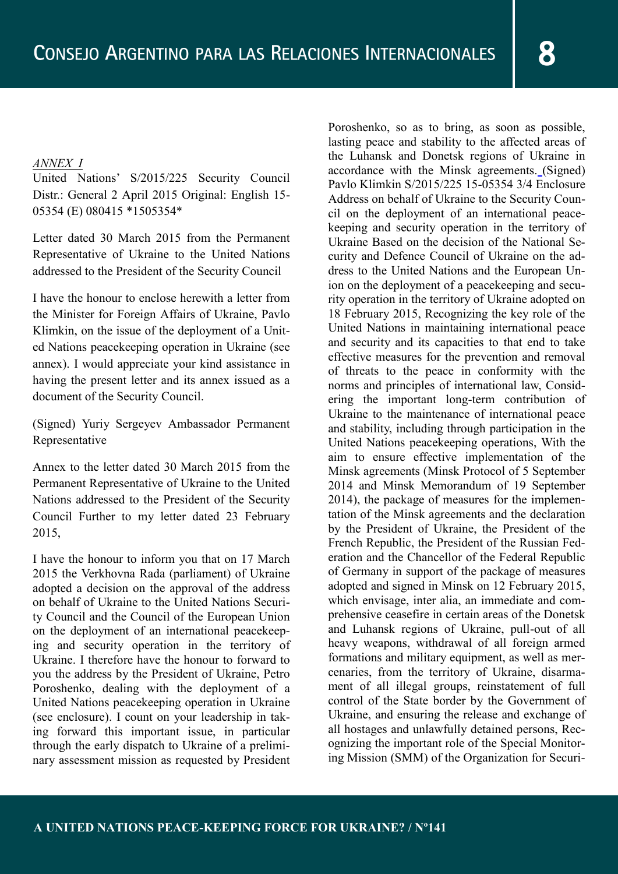#### *ANNEX I*

United Nations' S/2015/225 Security Council Distr.: General 2 April 2015 Original: English 15- 05354 (E) 080415 \*1505354\*

Letter dated 30 March 2015 from the Permanent Representative of Ukraine to the United Nations addressed to the President of the Security Council

I have the honour to enclose herewith a letter from the Minister for Foreign Affairs of Ukraine, Pavlo Klimkin, on the issue of the deployment of a United Nations peacekeeping operation in Ukraine (see annex). I would appreciate your kind assistance in having the present letter and its annex issued as a document of the Security Council.

(Signed) Yuriy Sergeyev Ambassador Permanent Representative

Annex to the letter dated 30 March 2015 from the Permanent Representative of Ukraine to the United Nations addressed to the President of the Security Council Further to my letter dated 23 February 2015,

I have the honour to inform you that on 17 March 2015 the Verkhovna Rada (parliament) of Ukraine adopted a decision on the approval of the address on behalf of Ukraine to the United Nations Security Council and the Council of the European Union on the deployment of an international peacekeeping and security operation in the territory of Ukraine. I therefore have the honour to forward to you the address by the President of Ukraine, Petro Poroshenko, dealing with the deployment of a United Nations peacekeeping operation in Ukraine (see enclosure). I count on your leadership in taking forward this important issue, in particular through the early dispatch to Ukraine of a preliminary assessment mission as requested by President

Poroshenko, so as to bring, as soon as possible, lasting peace and stability to the affected areas of the Luhansk and Donetsk regions of Ukraine in accordance with the Minsk agreements. (Signed) Pavlo Klimkin S/2015/225 15-05354 3/4 Enclosure Address on behalf of Ukraine to the Security Council on the deployment of an international peacekeeping and security operation in the territory of Ukraine Based on the decision of the National Security and Defence Council of Ukraine on the address to the United Nations and the European Union on the deployment of a peacekeeping and security operation in the territory of Ukraine adopted on 18 February 2015, Recognizing the key role of the United Nations in maintaining international peace and security and its capacities to that end to take effective measures for the prevention and removal of threats to the peace in conformity with the norms and principles of international law, Considering the important long-term contribution of Ukraine to the maintenance of international peace and stability, including through participation in the United Nations peacekeeping operations, With the aim to ensure effective implementation of the Minsk agreements (Minsk Protocol of 5 September 2014 and Minsk Memorandum of 19 September 2014), the package of measures for the implementation of the Minsk agreements and the declaration by the President of Ukraine, the President of the French Republic, the President of the Russian Federation and the Chancellor of the Federal Republic of Germany in support of the package of measures adopted and signed in Minsk on 12 February 2015, which envisage, inter alia, an immediate and comprehensive ceasefire in certain areas of the Donetsk and Luhansk regions of Ukraine, pull-out of all heavy weapons, withdrawal of all foreign armed formations and military equipment, as well as mercenaries, from the territory of Ukraine, disarmament of all illegal groups, reinstatement of full control of the State border by the Government of Ukraine, and ensuring the release and exchange of all hostages and unlawfully detained persons, Recognizing the important role of the Special Monitoring Mission (SMM) of the Organization for Securi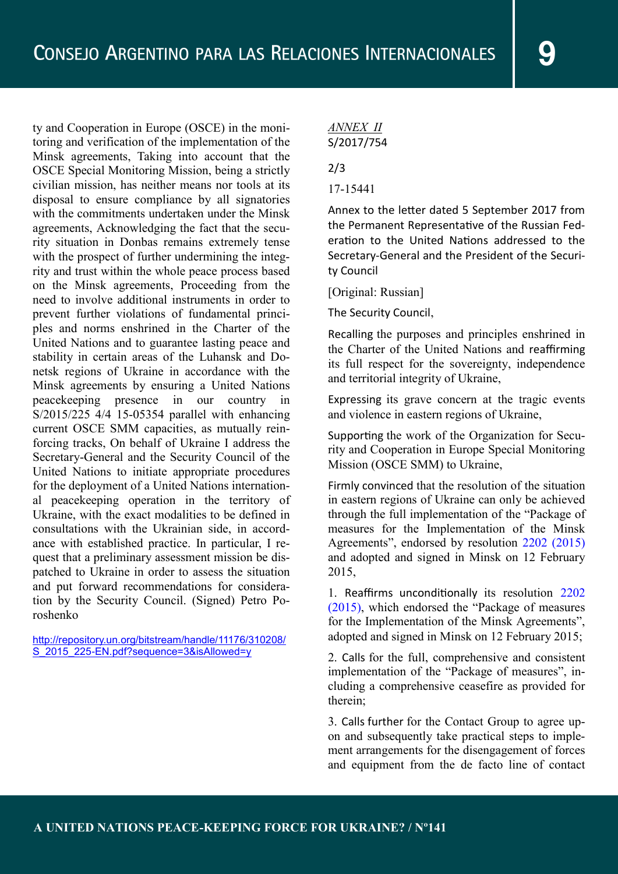ty and Cooperation in Europe (OSCE) in the monitoring and verification of the implementation of the Minsk agreements, Taking into account that the OSCE Special Monitoring Mission, being a strictly civilian mission, has neither means nor tools at its disposal to ensure compliance by all signatories with the commitments undertaken under the Minsk agreements, Acknowledging the fact that the security situation in Donbas remains extremely tense with the prospect of further undermining the integrity and trust within the whole peace process based on the Minsk agreements, Proceeding from the need to involve additional instruments in order to prevent further violations of fundamental principles and norms enshrined in the Charter of the United Nations and to guarantee lasting peace and stability in certain areas of the Luhansk and Donetsk regions of Ukraine in accordance with the Minsk agreements by ensuring a United Nations peacekeeping presence in our country in S/2015/225 4/4 15-05354 parallel with enhancing current OSCE SMM capacities, as mutually reinforcing tracks, On behalf of Ukraine I address the Secretary-General and the Security Council of the United Nations to initiate appropriate procedures for the deployment of a United Nations international peacekeeping operation in the territory of Ukraine, with the exact modalities to be defined in consultations with the Ukrainian side, in accordance with established practice. In particular, I request that a preliminary assessment mission be dispatched to Ukraine in order to assess the situation and put forward recommendations for consideration by the Security Council. (Signed) Petro Poroshenko

http://repository.un.org/bitstream/handle/11176/310208/ S 2015 225-EN.pdf?sequence=3&isAllowed=y

*ANNEX II* S/2017/754

2/3

17-15441

Annex to the letter dated 5 September 2017 from the Permanent Representative of the Russian Federation to the United Nations addressed to the Secretary-General and the President of the Security Council

[Original: Russian]

The Security Council,

Recalling the purposes and principles enshrined in the Charter of the United Nations and reaffirming its full respect for the sovereignty, independence and territorial integrity of Ukraine,

Expressing its grave concern at the tragic events and violence in eastern regions of Ukraine,

Supporting the work of the Organization for Security and Cooperation in Europe Special Monitoring Mission (OSCE SMM) to Ukraine,

Firmly convinced that the resolution of the situation in eastern regions of Ukraine can only be achieved through the full implementation of the "Package of measures for the Implementation of the Minsk Agreements", endorsed by resolution 2202 (2015) and adopted and signed in Minsk on 12 February 2015,

1. Reaffirms unconditionally its resolution 2202 (2015), which endorsed the "Package of measures for the Implementation of the Minsk Agreements", adopted and signed in Minsk on 12 February 2015;

2. Calls for the full, comprehensive and consistent implementation of the "Package of measures", including a comprehensive ceasefire as provided for therein;

3. Calls further for the Contact Group to agree upon and subsequently take practical steps to implement arrangements for the disengagement of forces and equipment from the de facto line of contact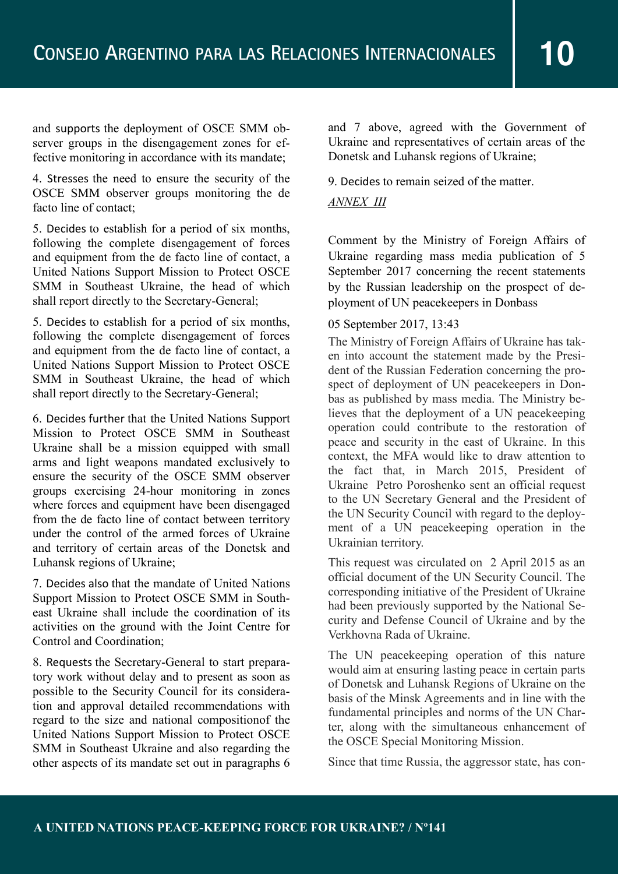and supports the deployment of OSCE SMM observer groups in the disengagement zones for effective monitoring in accordance with its mandate;

4. Stresses the need to ensure the security of the OSCE SMM observer groups monitoring the de facto line of contact;

5. Decides to establish for a period of six months, following the complete disengagement of forces and equipment from the de facto line of contact, a United Nations Support Mission to Protect OSCE SMM in Southeast Ukraine, the head of which shall report directly to the Secretary-General;

5. Decides to establish for a period of six months, following the complete disengagement of forces and equipment from the de facto line of contact, a United Nations Support Mission to Protect OSCE SMM in Southeast Ukraine, the head of which shall report directly to the Secretary-General;

6. Decides further that the United Nations Support Mission to Protect OSCE SMM in Southeast Ukraine shall be a mission equipped with small arms and light weapons mandated exclusively to ensure the security of the OSCE SMM observer groups exercising 24-hour monitoring in zones where forces and equipment have been disengaged from the de facto line of contact between territory under the control of the armed forces of Ukraine and territory of certain areas of the Donetsk and Luhansk regions of Ukraine;

7. Decides also that the mandate of United Nations Support Mission to Protect OSCE SMM in Southeast Ukraine shall include the coordination of its activities on the ground with the Joint Centre for Control and Coordination;

8. Requests the Secretary-General to start preparatory work without delay and to present as soon as possible to the Security Council for its consideration and approval detailed recommendations with regard to the size and national compositionof the United Nations Support Mission to Protect OSCE SMM in Southeast Ukraine and also regarding the other aspects of its mandate set out in paragraphs 6

and 7 above, agreed with the Government of Ukraine and representatives of certain areas of the Donetsk and Luhansk regions of Ukraine;

9. Decides to remain seized of the matter.

#### *ANNEX III*

Comment by the Ministry of Foreign Affairs of Ukraine regarding mass media publication of 5 September 2017 concerning the recent statements by the Russian leadership on the prospect of deployment of UN peacekeepers in Donbass

# 05 September 2017, 13:43

The Ministry of Foreign Affairs of Ukraine has taken into account the statement made by the President of the Russian Federation concerning the prospect of deployment of UN peacekeepers in Donbas as published by mass media. The Ministry believes that the deployment of a UN peacekeeping operation could contribute to the restoration of peace and security in the east of Ukraine. In this context, the MFA would like to draw attention to the fact that, in March 2015, President of Ukraine Petro Poroshenko sent an official request to the UN Secretary General and the President of the UN Security Council with regard to the deployment of a UN peacekeeping operation in the Ukrainian territory.

This request was circulated on 2 April 2015 as an official document of the UN Security Council. The corresponding initiative of the President of Ukraine had been previously supported by the National Security and Defense Council of Ukraine and by the Verkhovna Rada of Ukraine.

The UN peacekeeping operation of this nature would aim at ensuring lasting peace in certain parts of Donetsk and Luhansk Regions of Ukraine on the basis of the Minsk Agreements and in line with the fundamental principles and norms of the UN Charter, along with the simultaneous enhancement of the OSCE Special Monitoring Mission.

Since that time Russia, the aggressor state, has con-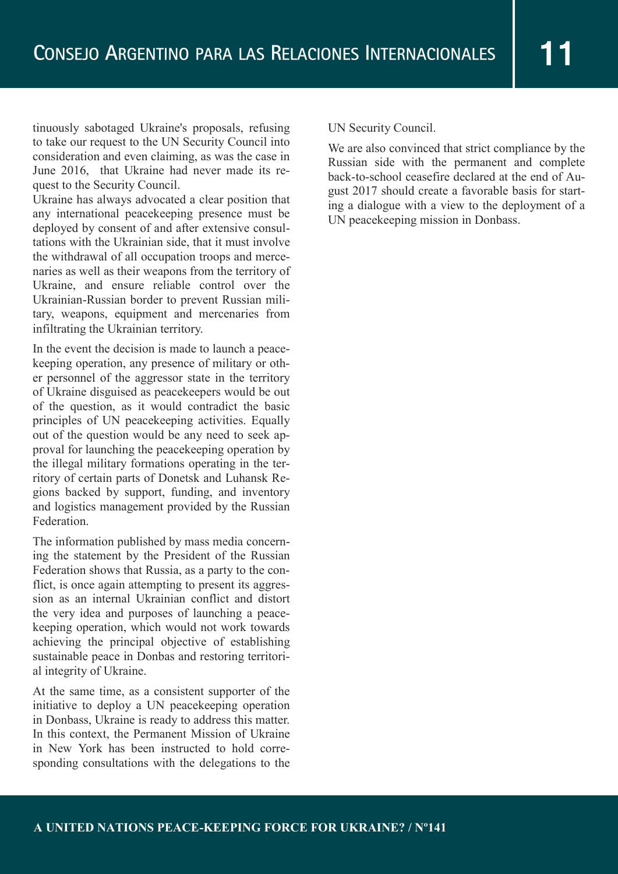tinuously sabotaged Ukraine's proposals, refusing to take our request to the UN Security Council into consideration and even claiming, as was the case in June 2016, that Ukraine had never made its request to the Security Council.

Ukraine has always advocated a clear position that any international peacekeeping presence must be deployed by consent of and after extensive consultations with the Ukrainian side, that it must involve the withdrawal of all occupation troops and mercenaries as well as their weapons from the territory of Ukraine, and ensure reliable control over the Ukrainian-Russian border to prevent Russian military, weapons, equipment and mercenaries from infiltrating the Ukrainian territory.

In the event the decision is made to launch a peacekeeping operation, any presence of military or other personnel of the aggressor state in the territory of Ukraine disguised as peacekeepers would be out of the question, as it would contradict the basic principles of UN peacekeeping activities. Equally out of the question would be any need to seek approval for launching the peacekeeping operation by the illegal military formations operating in the territory of certain parts of Donetsk and Luhansk Regions backed by support, funding, and inventory and logistics management provided by the Russian Federation.

The information published by mass media concerning the statement by the President of the Russian Federation shows that Russia, as a party to the conflict, is once again attempting to present its aggression as an internal Ukrainian conflict and distort the very idea and purposes of launching a peacekeeping operation, which would not work towards achieving the principal objective of establishing sustainable peace in Donbas and restoring territorial integrity of Ukraine.

At the same time, as a consistent supporter of the initiative to deploy a UN peacekeeping operation in Donbass, Ukraine is ready to address this matter. In this context, the Permanent Mission of Ukraine in New York has been instructed to hold corresponding consultations with the delegations to the UN Security Council.

We are also convinced that strict compliance by the Russian side with the permanent and complete back-to-school ceasefire declared at the end of August 2017 should create a favorable basis for starting a dialogue with a view to the deployment of a UN peacekeeping mission in Donbass.